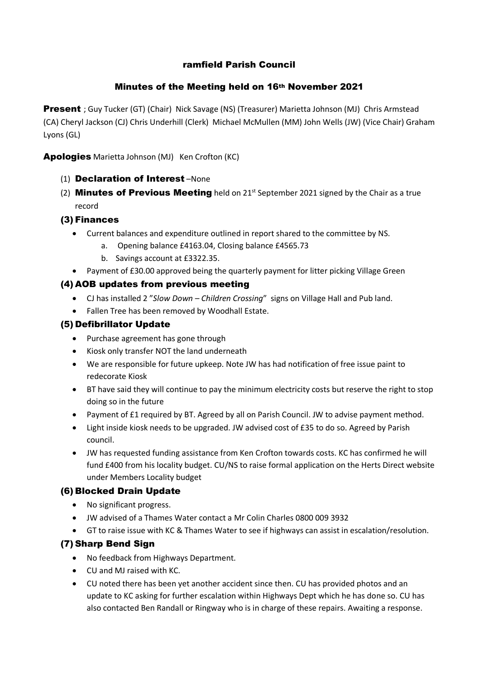## ramfield Parish Council

### Minutes of the Meeting held on 16th November 2021

Present ; Guy Tucker (GT) (Chair) Nick Savage (NS) (Treasurer) Marietta Johnson (MJ) Chris Armstead (CA) Cheryl Jackson (CJ) Chris Underhill (Clerk) Michael McMullen (MM) John Wells (JW) (Vice Chair) Graham Lyons (GL)

Apologies Marietta Johnson (MJ) Ken Crofton (KC)

- (1) Declaration of Interest –None
- (2) **Minutes of Previous Meeting** held on  $21<sup>st</sup>$  September 2021 signed by the Chair as a true record

## (3) Finances

- Current balances and expenditure outlined in report shared to the committee by NS.
	- a. Opening balance £4163.04, Closing balance £4565.73
	- b. Savings account at £3322.35.
- Payment of £30.00 approved being the quarterly payment for litter picking Village Green

## (4) AOB updates from previous meeting

- CJ has installed 2 "*Slow Down Children Crossing*" signs on Village Hall and Pub land.
- Fallen Tree has been removed by Woodhall Estate.

#### (5) Defibrillator Update

- Purchase agreement has gone through
- Kiosk only transfer NOT the land underneath
- We are responsible for future upkeep. Note JW has had notification of free issue paint to redecorate Kiosk
- BT have said they will continue to pay the minimum electricity costs but reserve the right to stop doing so in the future
- Payment of £1 required by BT. Agreed by all on Parish Council. JW to advise payment method.
- Light inside kiosk needs to be upgraded. JW advised cost of £35 to do so. Agreed by Parish council.
- JW has requested funding assistance from Ken Crofton towards costs. KC has confirmed he will fund £400 from his locality budget. CU/NS to raise formal application on the Herts Direct website under Members Locality budget

#### (6) Blocked Drain Update

- No significant progress.
- JW advised of a Thames Water contact a Mr Colin Charles 0800 009 3932
- GT to raise issue with KC & Thames Water to see if highways can assist in escalation/resolution.

#### (7) Sharp Bend Sign

- No feedback from Highways Department.
- CU and MJ raised with KC.
- CU noted there has been yet another accident since then. CU has provided photos and an update to KC asking for further escalation within Highways Dept which he has done so. CU has also contacted Ben Randall or Ringway who is in charge of these repairs. Awaiting a response.